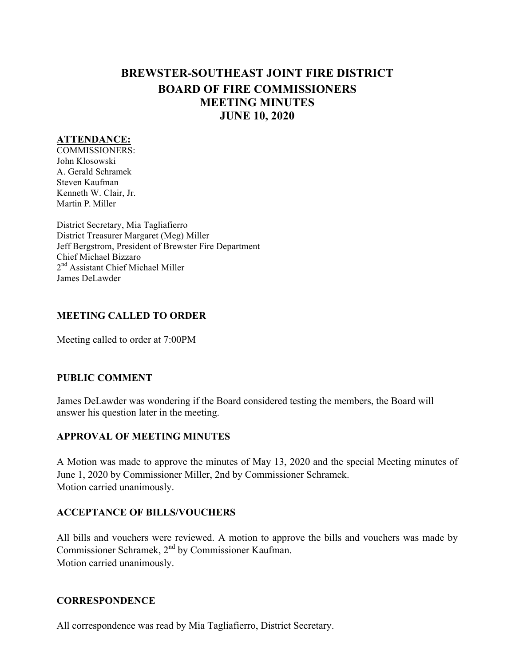# **BREWSTER-SOUTHEAST JOINT FIRE DISTRICT BOARD OF FIRE COMMISSIONERS MEETING MINUTES JUNE 10, 2020**

### **ATTENDANCE:**

COMMISSIONERS: John Klosowski A. Gerald Schramek Steven Kaufman Kenneth W. Clair, Jr. Martin P. Miller

District Secretary, Mia Tagliafierro District Treasurer Margaret (Meg) Miller Jeff Bergstrom, President of Brewster Fire Department Chief Michael Bizzaro 2<sup>nd</sup> Assistant Chief Michael Miller James DeLawder

### **MEETING CALLED TO ORDER**

Meeting called to order at 7:00PM

### **PUBLIC COMMENT**

James DeLawder was wondering if the Board considered testing the members, the Board will answer his question later in the meeting.

# **APPROVAL OF MEETING MINUTES**

A Motion was made to approve the minutes of May 13, 2020 and the special Meeting minutes of June 1, 2020 by Commissioner Miller, 2nd by Commissioner Schramek. Motion carried unanimously.

### **ACCEPTANCE OF BILLS/VOUCHERS**

All bills and vouchers were reviewed. A motion to approve the bills and vouchers was made by Commissioner Schramek, 2<sup>nd</sup> by Commissioner Kaufman. Motion carried unanimously.

### **CORRESPONDENCE**

All correspondence was read by Mia Tagliafierro, District Secretary.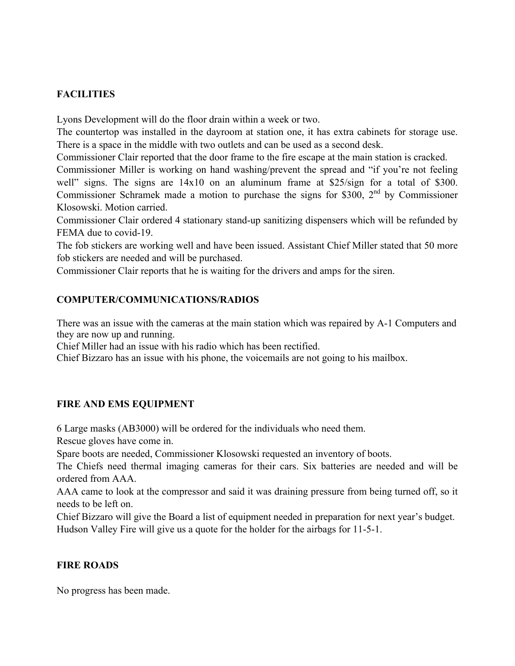# **FACILITIES**

Lyons Development will do the floor drain within a week or two.

The countertop was installed in the dayroom at station one, it has extra cabinets for storage use. There is a space in the middle with two outlets and can be used as a second desk.

Commissioner Clair reported that the door frame to the fire escape at the main station is cracked.

Commissioner Miller is working on hand washing/prevent the spread and "if you're not feeling well" signs. The signs are  $14x10$  on an aluminum frame at \$25/sign for a total of \$300. Commissioner Schramek made a motion to purchase the signs for \$300, 2<sup>nd</sup> by Commissioner Klosowski. Motion carried.

Commissioner Clair ordered 4 stationary stand-up sanitizing dispensers which will be refunded by FEMA due to covid-19.

The fob stickers are working well and have been issued. Assistant Chief Miller stated that 50 more fob stickers are needed and will be purchased.

Commissioner Clair reports that he is waiting for the drivers and amps for the siren.

# **COMPUTER/COMMUNICATIONS/RADIOS**

There was an issue with the cameras at the main station which was repaired by A-1 Computers and they are now up and running.

Chief Miller had an issue with his radio which has been rectified.

Chief Bizzaro has an issue with his phone, the voicemails are not going to his mailbox.

# **FIRE AND EMS EQUIPMENT**

6 Large masks (AB3000) will be ordered for the individuals who need them.

Rescue gloves have come in.

Spare boots are needed, Commissioner Klosowski requested an inventory of boots.

The Chiefs need thermal imaging cameras for their cars. Six batteries are needed and will be ordered from AAA.

AAA came to look at the compressor and said it was draining pressure from being turned off, so it needs to be left on.

Chief Bizzaro will give the Board a list of equipment needed in preparation for next year's budget. Hudson Valley Fire will give us a quote for the holder for the airbags for 11-5-1.

# **FIRE ROADS**

No progress has been made.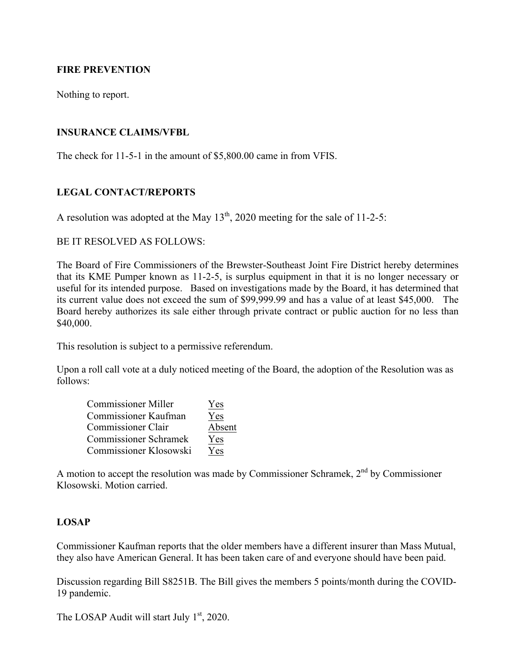# **FIRE PREVENTION**

Nothing to report.

### **INSURANCE CLAIMS/VFBL**

The check for 11-5-1 in the amount of \$5,800.00 came in from VFIS.

### **LEGAL CONTACT/REPORTS**

A resolution was adopted at the May  $13<sup>th</sup>$ , 2020 meeting for the sale of 11-2-5:

# BE IT RESOLVED AS FOLLOWS<sup>.</sup>

The Board of Fire Commissioners of the Brewster-Southeast Joint Fire District hereby determines that its KME Pumper known as 11-2-5, is surplus equipment in that it is no longer necessary or useful for its intended purpose. Based on investigations made by the Board, it has determined that its current value does not exceed the sum of \$99,999.99 and has a value of at least \$45,000. The Board hereby authorizes its sale either through private contract or public auction for no less than \$40,000.

This resolution is subject to a permissive referendum.

Upon a roll call vote at a duly noticed meeting of the Board, the adoption of the Resolution was as follows:

| <b>Commissioner Miller</b>   | Yes    |
|------------------------------|--------|
| Commissioner Kaufman         | Yes    |
| <b>Commissioner Clair</b>    | Absent |
| <b>Commissioner Schramek</b> | Yes    |
| Commissioner Klosowski       | Yes    |

A motion to accept the resolution was made by Commissioner Schramek,  $2<sup>nd</sup>$  by Commissioner Klosowski. Motion carried.

### **LOSAP**

Commissioner Kaufman reports that the older members have a different insurer than Mass Mutual, they also have American General. It has been taken care of and everyone should have been paid.

Discussion regarding Bill S8251B. The Bill gives the members 5 points/month during the COVID-19 pandemic.

The LOSAP Audit will start July  $1<sup>st</sup>$ , 2020.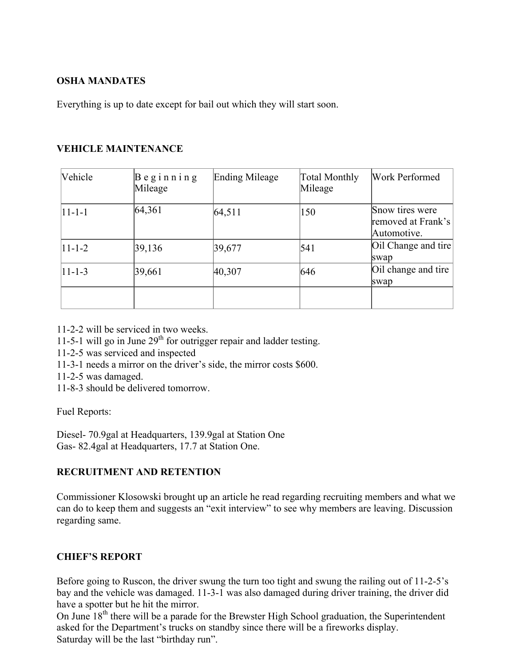# **OSHA MANDATES**

Everything is up to date except for bail out which they will start soon.

# **VEHICLE MAINTENANCE**

| Vehicle        | $B$ eginning<br>Mileage | <b>Ending Mileage</b> | <b>Total Monthly</b><br>Mileage | Work Performed                                       |
|----------------|-------------------------|-----------------------|---------------------------------|------------------------------------------------------|
| $ 11 - 1 - 1 $ | 64,361                  | 64,511                | 150                             | Snow tires were<br>removed at Frank's<br>Automotive. |
| $11 - 1 - 2$   | 39,136                  | 39,677                | 541                             | Oil Change and tire<br>swap                          |
| $11 - 1 - 3$   | 39,661                  | 40,307                | 646                             | Oil change and tire<br>swap                          |
|                |                         |                       |                                 |                                                      |

11-2-2 will be serviced in two weeks.

11-5-1 will go in June 29<sup>th</sup> for outrigger repair and ladder testing.

- 11-2-5 was serviced and inspected
- 11-3-1 needs a mirror on the driver's side, the mirror costs \$600.
- 11-2-5 was damaged.

11-8-3 should be delivered tomorrow.

Fuel Reports:

Diesel- 70.9gal at Headquarters, 139.9gal at Station One Gas- 82.4gal at Headquarters, 17.7 at Station One.

# **RECRUITMENT AND RETENTION**

Commissioner Klosowski brought up an article he read regarding recruiting members and what we can do to keep them and suggests an "exit interview" to see why members are leaving. Discussion regarding same.

# **CHIEF'S REPORT**

Before going to Ruscon, the driver swung the turn too tight and swung the railing out of 11-2-5's bay and the vehicle was damaged. 11-3-1 was also damaged during driver training, the driver did have a spotter but he hit the mirror.

On June  $18<sup>th</sup>$  there will be a parade for the Brewster High School graduation, the Superintendent asked for the Department's trucks on standby since there will be a fireworks display. Saturday will be the last "birthday run".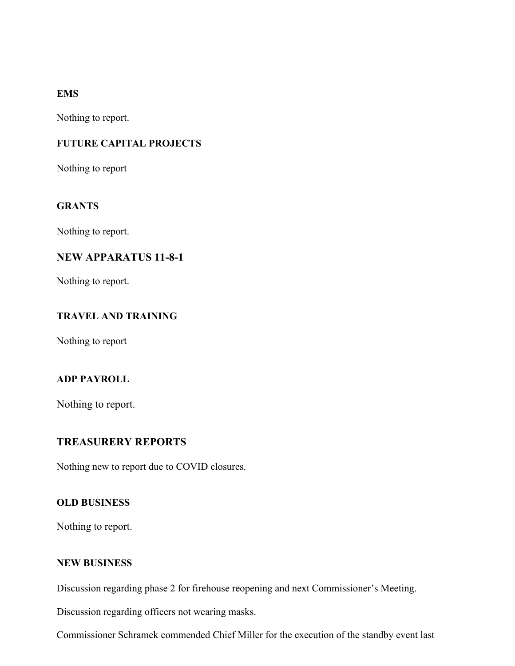# **EMS**

Nothing to report.

# **FUTURE CAPITAL PROJECTS**

Nothing to report

### **GRANTS**

Nothing to report.

# **NEW APPARATUS 11-8-1**

Nothing to report.

# **TRAVEL AND TRAINING**

Nothing to report

# **ADP PAYROLL**

Nothing to report.

# **TREASURERY REPORTS**

Nothing new to report due to COVID closures.

### **OLD BUSINESS**

Nothing to report.

### **NEW BUSINESS**

Discussion regarding phase 2 for firehouse reopening and next Commissioner's Meeting.

Discussion regarding officers not wearing masks.

Commissioner Schramek commended Chief Miller for the execution of the standby event last